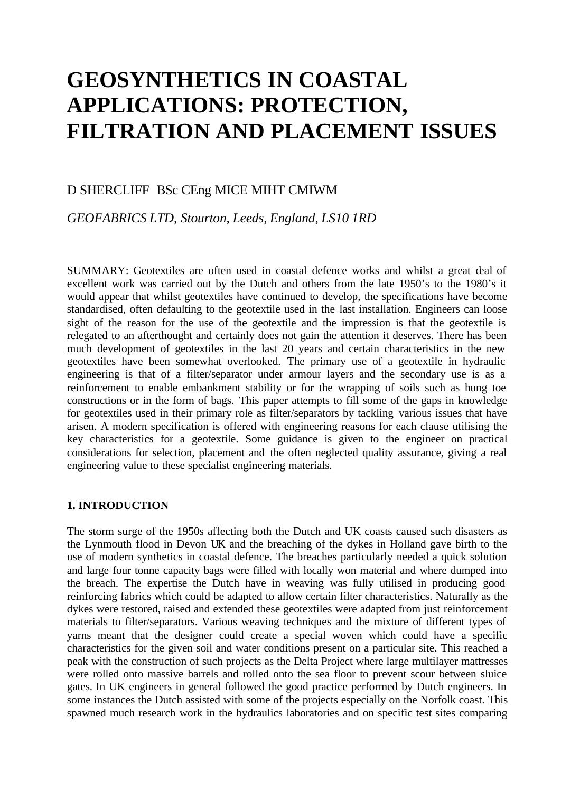# **GEOSYNTHETICS IN COASTAL APPLICATIONS: PROTECTION, FILTRATION AND PLACEMENT ISSUES**

# D SHERCLIFF BSc CEng MICE MIHT CMIWM

# *GEOFABRICS LTD, Stourton, Leeds, England, LS10 1RD*

SUMMARY: Geotextiles are often used in coastal defence works and whilst a great deal of excellent work was carried out by the Dutch and others from the late 1950's to the 1980's it would appear that whilst geotextiles have continued to develop, the specifications have become standardised, often defaulting to the geotextile used in the last installation. Engineers can loose sight of the reason for the use of the geotextile and the impression is that the geotextile is relegated to an afterthought and certainly does not gain the attention it deserves. There has been much development of geotextiles in the last 20 years and certain characteristics in the new geotextiles have been somewhat overlooked. The primary use of a geotextile in hydraulic engineering is that of a filter/separator under armour layers and the secondary use is as a reinforcement to enable embankment stability or for the wrapping of soils such as hung toe constructions or in the form of bags. This paper attempts to fill some of the gaps in knowledge for geotextiles used in their primary role as filter/separators by tackling various issues that have arisen. A modern specification is offered with engineering reasons for each clause utilising the key characteristics for a geotextile. Some guidance is given to the engineer on practical considerations for selection, placement and the often neglected quality assurance, giving a real engineering value to these specialist engineering materials.

#### **1. INTRODUCTION**

The storm surge of the 1950s affecting both the Dutch and UK coasts caused such disasters as the Lynmouth flood in Devon UK and the breaching of the dykes in Holland gave birth to the use of modern synthetics in coastal defence. The breaches particularly needed a quick solution and large four tonne capacity bags were filled with locally won material and where dumped into the breach. The expertise the Dutch have in weaving was fully utilised in producing good reinforcing fabrics which could be adapted to allow certain filter characteristics. Naturally as the dykes were restored, raised and extended these geotextiles were adapted from just reinforcement materials to filter/separators. Various weaving techniques and the mixture of different types of yarns meant that the designer could create a special woven which could have a specific characteristics for the given soil and water conditions present on a particular site. This reached a peak with the construction of such projects as the Delta Project where large multilayer mattresses were rolled onto massive barrels and rolled onto the sea floor to prevent scour between sluice gates. In UK engineers in general followed the good practice performed by Dutch engineers. In some instances the Dutch assisted with some of the projects especially on the Norfolk coast. This spawned much research work in the hydraulics laboratories and on specific test sites comparing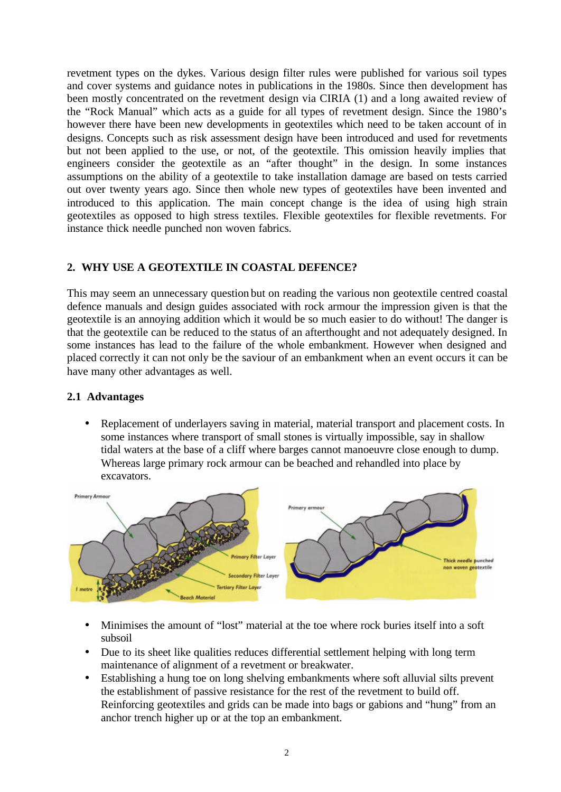revetment types on the dykes. Various design filter rules were published for various soil types and cover systems and guidance notes in publications in the 1980s. Since then development has been mostly concentrated on the revetment design via CIRIA (1) and a long awaited review of the "Rock Manual" which acts as a guide for all types of revetment design. Since the 1980's however there have been new developments in geotextiles which need to be taken account of in designs. Concepts such as risk assessment design have been introduced and used for revetments but not been applied to the use, or not, of the geotextile. This omission heavily implies that engineers consider the geotextile as an "after thought" in the design. In some instances assumptions on the ability of a geotextile to take installation damage are based on tests carried out over twenty years ago. Since then whole new types of geotextiles have been invented and introduced to this application. The main concept change is the idea of using high strain geotextiles as opposed to high stress textiles. Flexible geotextiles for flexible revetments. For instance thick needle punched non woven fabrics.

## **2. WHY USE A GEOTEXTILE IN COASTAL DEFENCE?**

This may seem an unnecessary question but on reading the various non geotextile centred coastal defence manuals and design guides associated with rock armour the impression given is that the geotextile is an annoying addition which it would be so much easier to do without! The danger is that the geotextile can be reduced to the status of an afterthought and not adequately designed. In some instances has lead to the failure of the whole embankment. However when designed and placed correctly it can not only be the saviour of an embankment when an event occurs it can be have many other advantages as well.

#### **2.1 Advantages**

• Replacement of underlayers saving in material, material transport and placement costs. In some instances where transport of small stones is virtually impossible, say in shallow tidal waters at the base of a cliff where barges cannot manoeuvre close enough to dump. Whereas large primary rock armour can be beached and rehandled into place by excavators.



- Minimises the amount of "lost" material at the toe where rock buries itself into a soft subsoil
- Due to its sheet like qualities reduces differential settlement helping with long term maintenance of alignment of a revetment or breakwater.
- Establishing a hung toe on long shelving embankments where soft alluvial silts prevent the establishment of passive resistance for the rest of the revetment to build off. Reinforcing geotextiles and grids can be made into bags or gabions and "hung" from an anchor trench higher up or at the top an embankment.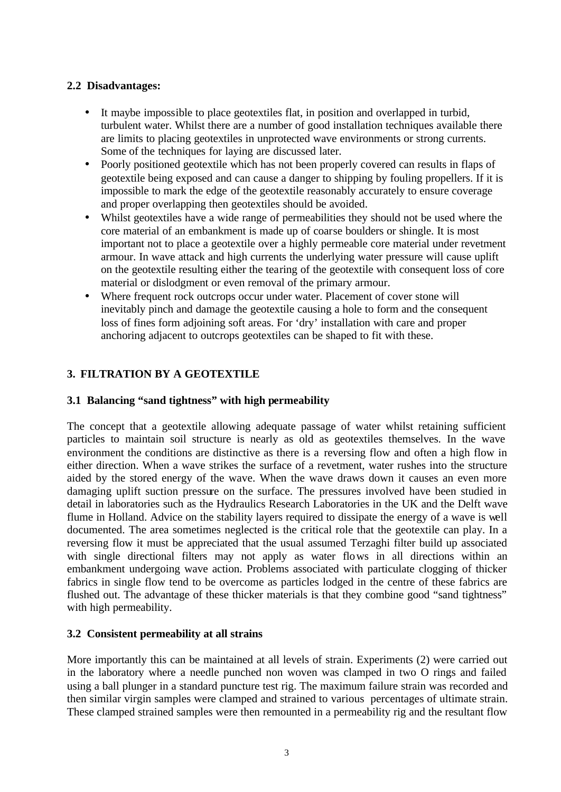# **2.2 Disadvantages:**

- It maybe impossible to place geotextiles flat, in position and overlapped in turbid, turbulent water. Whilst there are a number of good installation techniques available there are limits to placing geotextiles in unprotected wave environments or strong currents. Some of the techniques for laying are discussed later.
- Poorly positioned geotextile which has not been properly covered can results in flaps of geotextile being exposed and can cause a danger to shipping by fouling propellers. If it is impossible to mark the edge of the geotextile reasonably accurately to ensure coverage and proper overlapping then geotextiles should be avoided.
- Whilst geotextiles have a wide range of permeabilities they should not be used where the core material of an embankment is made up of coarse boulders or shingle. It is most important not to place a geotextile over a highly permeable core material under revetment armour. In wave attack and high currents the underlying water pressure will cause uplift on the geotextile resulting either the tearing of the geotextile with consequent loss of core material or dislodgment or even removal of the primary armour.
- Where frequent rock outcrops occur under water. Placement of cover stone will inevitably pinch and damage the geotextile causing a hole to form and the consequent loss of fines form adjoining soft areas. For 'dry' installation with care and proper anchoring adjacent to outcrops geotextiles can be shaped to fit with these.

# **3. FILTRATION BY A GEOTEXTILE**

# **3.1 Balancing "sand tightness" with high permeability**

The concept that a geotextile allowing adequate passage of water whilst retaining sufficient particles to maintain soil structure is nearly as old as geotextiles themselves. In the wave environment the conditions are distinctive as there is a reversing flow and often a high flow in either direction. When a wave strikes the surface of a revetment, water rushes into the structure aided by the stored energy of the wave. When the wave draws down it causes an even more damaging uplift suction pressure on the surface. The pressures involved have been studied in detail in laboratories such as the Hydraulics Research Laboratories in the UK and the Delft wave flume in Holland. Advice on the stability layers required to dissipate the energy of a wave is well documented. The area sometimes neglected is the critical role that the geotextile can play. In a reversing flow it must be appreciated that the usual assumed Terzaghi filter build up associated with single directional filters may not apply as water flows in all directions within an embankment undergoing wave action. Problems associated with particulate clogging of thicker fabrics in single flow tend to be overcome as particles lodged in the centre of these fabrics are flushed out. The advantage of these thicker materials is that they combine good "sand tightness" with high permeability.

## **3.2 Consistent permeability at all strains**

More importantly this can be maintained at all levels of strain. Experiments (2) were carried out in the laboratory where a needle punched non woven was clamped in two O rings and failed using a ball plunger in a standard puncture test rig. The maximum failure strain was recorded and then similar virgin samples were clamped and strained to various percentages of ultimate strain. These clamped strained samples were then remounted in a permeability rig and the resultant flow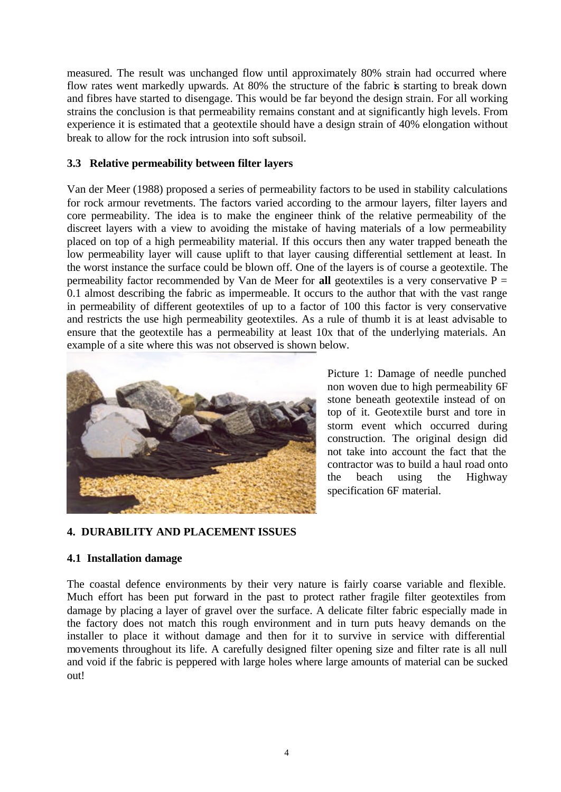measured. The result was unchanged flow until approximately 80% strain had occurred where flow rates went markedly upwards. At 80% the structure of the fabric is starting to break down and fibres have started to disengage. This would be far beyond the design strain. For all working strains the conclusion is that permeability remains constant and at significantly high levels. From experience it is estimated that a geotextile should have a design strain of 40% elongation without break to allow for the rock intrusion into soft subsoil.

#### **3.3 Relative permeability between filter layers**

Van der Meer (1988) proposed a series of permeability factors to be used in stability calculations for rock armour revetments. The factors varied according to the armour layers, filter layers and core permeability. The idea is to make the engineer think of the relative permeability of the discreet layers with a view to avoiding the mistake of having materials of a low permeability placed on top of a high permeability material. If this occurs then any water trapped beneath the low permeability layer will cause uplift to that layer causing differential settlement at least. In the worst instance the surface could be blown off. One of the layers is of course a geotextile. The permeability factor recommended by Van de Meer for **all** geotextiles is a very conservative  $P =$ 0.1 almost describing the fabric as impermeable. It occurs to the author that with the vast range in permeability of different geotextiles of up to a factor of 100 this factor is very conservative and restricts the use high permeability geotextiles. As a rule of thumb it is at least advisable to ensure that the geotextile has a permeability at least 10x that of the underlying materials. An example of a site where this was not observed is shown below.



Picture 1: Damage of needle punched non woven due to high permeability 6F stone beneath geotextile instead of on top of it. Geotextile burst and tore in storm event which occurred during construction. The original design did not take into account the fact that the contractor was to build a haul road onto the beach using the Highway specification 6F material.

## **4. DURABILITY AND PLACEMENT ISSUES**

## **4.1 Installation damage**

The coastal defence environments by their very nature is fairly coarse variable and flexible. Much effort has been put forward in the past to protect rather fragile filter geotextiles from damage by placing a layer of gravel over the surface. A delicate filter fabric especially made in the factory does not match this rough environment and in turn puts heavy demands on the installer to place it without damage and then for it to survive in service with differential movements throughout its life. A carefully designed filter opening size and filter rate is all null and void if the fabric is peppered with large holes where large amounts of material can be sucked out!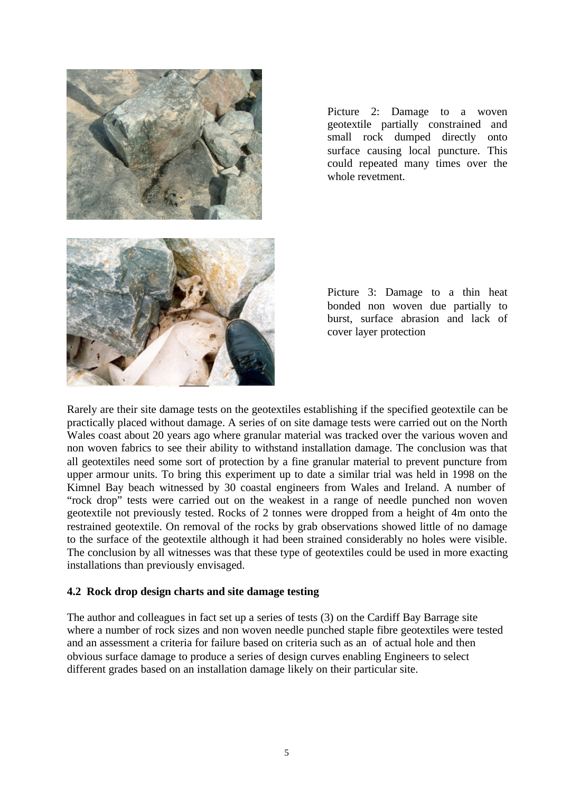

Picture 2: Damage to a woven geotextile partially constrained and small rock dumped directly onto surface causing local puncture. This could repeated many times over the whole revetment.

Picture 3: Damage to a thin heat bonded non woven due partially to burst, surface abrasion and lack of cover layer protection

Rarely are their site damage tests on the geotextiles establishing if the specified geotextile can be practically placed without damage. A series of on site damage tests were carried out on the North Wales coast about 20 years ago where granular material was tracked over the various woven and non woven fabrics to see their ability to withstand installation damage. The conclusion was that all geotextiles need some sort of protection by a fine granular material to prevent puncture from upper armour units. To bring this experiment up to date a similar trial was held in 1998 on the Kimnel Bay beach witnessed by 30 coastal engineers from Wales and Ireland. A number of "rock drop" tests were carried out on the weakest in a range of needle punched non woven geotextile not previously tested. Rocks of 2 tonnes were dropped from a height of 4m onto the restrained geotextile. On removal of the rocks by grab observations showed little of no damage to the surface of the geotextile although it had been strained considerably no holes were visible. The conclusion by all witnesses was that these type of geotextiles could be used in more exacting installations than previously envisaged.

#### **4.2 Rock drop design charts and site damage testing**

The author and colleagues in fact set up a series of tests (3) on the Cardiff Bay Barrage site where a number of rock sizes and non woven needle punched staple fibre geotextiles were tested and an assessment a criteria for failure based on criteria such as an of actual hole and then obvious surface damage to produce a series of design curves enabling Engineers to select different grades based on an installation damage likely on their particular site.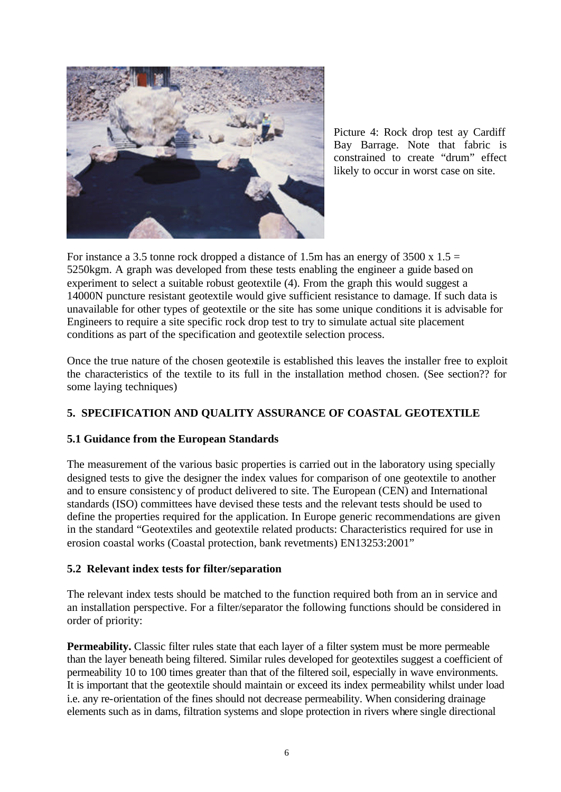

Picture 4: Rock drop test ay Cardiff Bay Barrage. Note that fabric is constrained to create "drum" effect likely to occur in worst case on site.

For instance a 3.5 tonne rock dropped a distance of 1.5m has an energy of 3500 x  $1.5 =$ 5250kgm. A graph was developed from these tests enabling the engineer a guide based on experiment to select a suitable robust geotextile (4). From the graph this would suggest a 14000N puncture resistant geotextile would give sufficient resistance to damage. If such data is unavailable for other types of geotextile or the site has some unique conditions it is advisable for Engineers to require a site specific rock drop test to try to simulate actual site placement conditions as part of the specification and geotextile selection process.

Once the true nature of the chosen geotextile is established this leaves the installer free to exploit the characteristics of the textile to its full in the installation method chosen. (See section?? for some laying techniques)

# **5. SPECIFICATION AND QUALITY ASSURANCE OF COASTAL GEOTEXTILE**

## **5.1 Guidance from the European Standards**

The measurement of the various basic properties is carried out in the laboratory using specially designed tests to give the designer the index values for comparison of one geotextile to another and to ensure consistency of product delivered to site. The European (CEN) and International standards (ISO) committees have devised these tests and the relevant tests should be used to define the properties required for the application. In Europe generic recommendations are given in the standard "Geotextiles and geotextile related products: Characteristics required for use in erosion coastal works (Coastal protection, bank revetments) EN13253:2001"

## **5.2 Relevant index tests for filter/separation**

The relevant index tests should be matched to the function required both from an in service and an installation perspective. For a filter/separator the following functions should be considered in order of priority:

**Permeability.** Classic filter rules state that each layer of a filter system must be more permeable than the layer beneath being filtered. Similar rules developed for geotextiles suggest a coefficient of permeability 10 to 100 times greater than that of the filtered soil, especially in wave environments. It is important that the geotextile should maintain or exceed its index permeability whilst under load i.e. any re-orientation of the fines should not decrease permeability. When considering drainage elements such as in dams, filtration systems and slope protection in rivers where single directional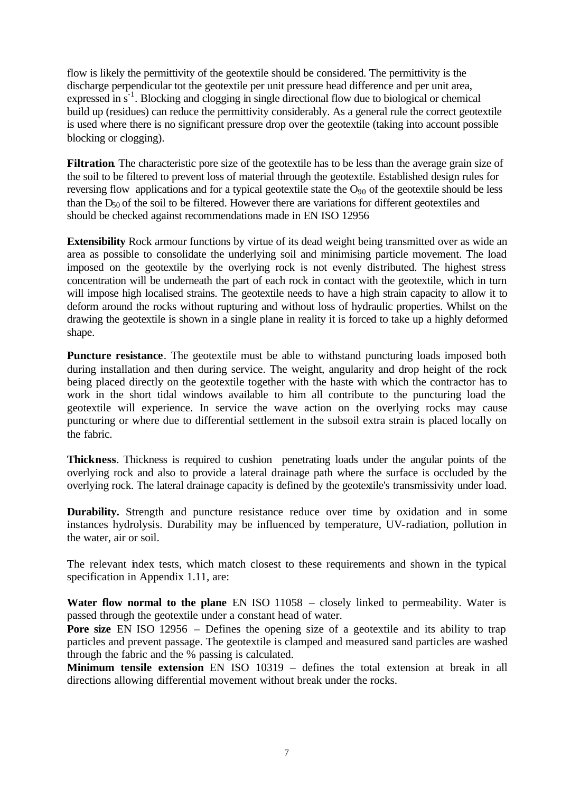flow is likely the permittivity of the geotextile should be considered. The permittivity is the discharge perpendicular tot the geotextile per unit pressure head difference and per unit area, expressed in s<sup>-1</sup>. Blocking and clogging in single directional flow due to biological or chemical build up (residues) can reduce the permittivity considerably. As a general rule the correct geotextile is used where there is no significant pressure drop over the geotextile (taking into account possible blocking or clogging).

**Filtration**. The characteristic pore size of the geotextile has to be less than the average grain size of the soil to be filtered to prevent loss of material through the geotextile. Established design rules for reversing flow applications and for a typical geotextile state the  $O_{90}$  of the geotextile should be less than the  $D_{50}$  of the soil to be filtered. However there are variations for different geotextiles and should be checked against recommendations made in EN ISO 12956

**Extensibility** Rock armour functions by virtue of its dead weight being transmitted over as wide an area as possible to consolidate the underlying soil and minimising particle movement. The load imposed on the geotextile by the overlying rock is not evenly distributed. The highest stress concentration will be underneath the part of each rock in contact with the geotextile, which in turn will impose high localised strains. The geotextile needs to have a high strain capacity to allow it to deform around the rocks without rupturing and without loss of hydraulic properties. Whilst on the drawing the geotextile is shown in a single plane in reality it is forced to take up a highly deformed shape.

**Puncture resistance**. The geotextile must be able to withstand puncturing loads imposed both during installation and then during service. The weight, angularity and drop height of the rock being placed directly on the geotextile together with the haste with which the contractor has to work in the short tidal windows available to him all contribute to the puncturing load the geotextile will experience. In service the wave action on the overlying rocks may cause puncturing or where due to differential settlement in the subsoil extra strain is placed locally on the fabric.

**Thickness**. Thickness is required to cushion penetrating loads under the angular points of the overlying rock and also to provide a lateral drainage path where the surface is occluded by the overlying rock. The lateral drainage capacity is defined by the geotextile's transmissivity under load.

**Durability.** Strength and puncture resistance reduce over time by oxidation and in some instances hydrolysis. Durability may be influenced by temperature, UV-radiation, pollution in the water, air or soil.

The relevant index tests, which match closest to these requirements and shown in the typical specification in Appendix 1.11, are:

**Water flow normal to the plane** EN ISO 11058 – closely linked to permeability. Water is passed through the geotextile under a constant head of water.

**Pore size** EN ISO 12956 – Defines the opening size of a geotextile and its ability to trap particles and prevent passage. The geotextile is clamped and measured sand particles are washed through the fabric and the % passing is calculated.

**Minimum tensile extension** EN ISO 10319 – defines the total extension at break in all directions allowing differential movement without break under the rocks.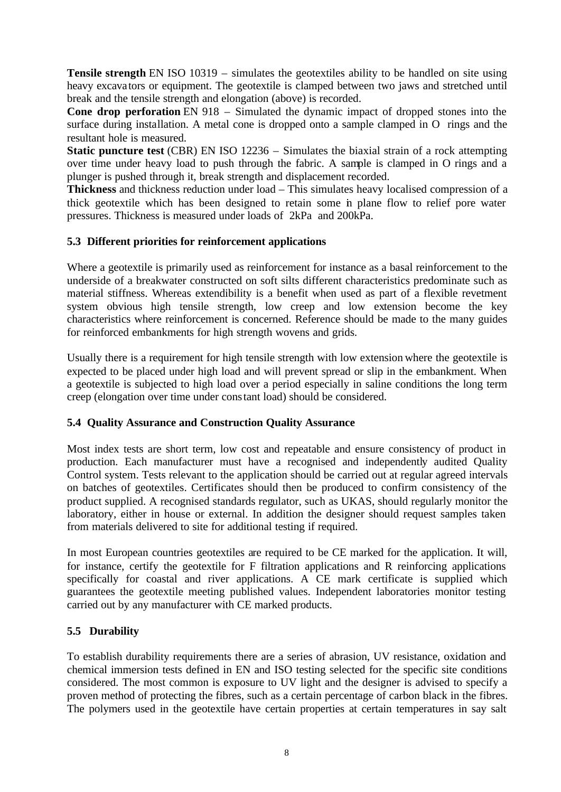**Tensile strength** EN ISO 10319 – simulates the geotextiles ability to be handled on site using heavy excavators or equipment. The geotextile is clamped between two jaws and stretched until break and the tensile strength and elongation (above) is recorded.

**Cone drop perforation** EN 918 – Simulated the dynamic impact of dropped stones into the surface during installation. A metal cone is dropped onto a sample clamped in O rings and the resultant hole is measured.

**Static puncture test** (CBR) EN ISO 12236 – Simulates the biaxial strain of a rock attempting over time under heavy load to push through the fabric. A sample is clamped in O rings and a plunger is pushed through it, break strength and displacement recorded.

**Thickness** and thickness reduction under load – This simulates heavy localised compression of a thick geotextile which has been designed to retain some in plane flow to relief pore water pressures. Thickness is measured under loads of 2kPa and 200kPa.

## **5.3 Different priorities for reinforcement applications**

Where a geotextile is primarily used as reinforcement for instance as a basal reinforcement to the underside of a breakwater constructed on soft silts different characteristics predominate such as material stiffness. Whereas extendibility is a benefit when used as part of a flexible revetment system obvious high tensile strength, low creep and low extension become the key characteristics where reinforcement is concerned. Reference should be made to the many guides for reinforced embankments for high strength wovens and grids.

Usually there is a requirement for high tensile strength with low extension where the geotextile is expected to be placed under high load and will prevent spread or slip in the embankment. When a geotextile is subjected to high load over a period especially in saline conditions the long term creep (elongation over time under constant load) should be considered.

## **5.4 Quality Assurance and Construction Quality Assurance**

Most index tests are short term, low cost and repeatable and ensure consistency of product in production. Each manufacturer must have a recognised and independently audited Quality Control system. Tests relevant to the application should be carried out at regular agreed intervals on batches of geotextiles. Certificates should then be produced to confirm consistency of the product supplied. A recognised standards regulator, such as UKAS, should regularly monitor the laboratory, either in house or external. In addition the designer should request samples taken from materials delivered to site for additional testing if required.

In most European countries geotextiles are required to be CE marked for the application. It will, for instance, certify the geotextile for F filtration applications and R reinforcing applications specifically for coastal and river applications. A CE mark certificate is supplied which guarantees the geotextile meeting published values. Independent laboratories monitor testing carried out by any manufacturer with CE marked products.

## **5.5 Durability**

To establish durability requirements there are a series of abrasion, UV resistance, oxidation and chemical immersion tests defined in EN and ISO testing selected for the specific site conditions considered. The most common is exposure to UV light and the designer is advised to specify a proven method of protecting the fibres, such as a certain percentage of carbon black in the fibres. The polymers used in the geotextile have certain properties at certain temperatures in say salt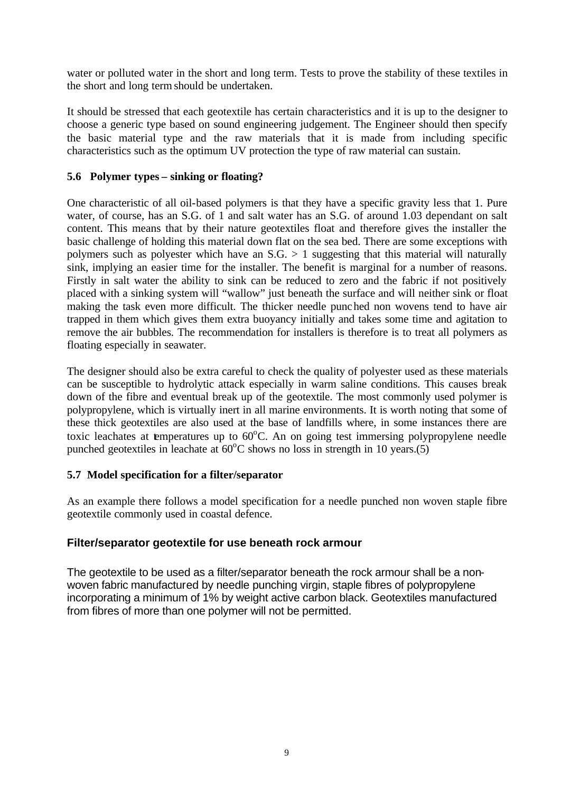water or polluted water in the short and long term. Tests to prove the stability of these textiles in the short and long term should be undertaken.

It should be stressed that each geotextile has certain characteristics and it is up to the designer to choose a generic type based on sound engineering judgement. The Engineer should then specify the basic material type and the raw materials that it is made from including specific characteristics such as the optimum UV protection the type of raw material can sustain.

# **5.6 Polymer types – sinking or floating?**

One characteristic of all oil-based polymers is that they have a specific gravity less that 1. Pure water, of course, has an S.G. of 1 and salt water has an S.G. of around 1.03 dependant on salt content. This means that by their nature geotextiles float and therefore gives the installer the basic challenge of holding this material down flat on the sea bed. There are some exceptions with polymers such as polyester which have an  $S.G. > 1$  suggesting that this material will naturally sink, implying an easier time for the installer. The benefit is marginal for a number of reasons. Firstly in salt water the ability to sink can be reduced to zero and the fabric if not positively placed with a sinking system will "wallow" just beneath the surface and will neither sink or float making the task even more difficult. The thicker needle punched non wovens tend to have air trapped in them which gives them extra buoyancy initially and takes some time and agitation to remove the air bubbles. The recommendation for installers is therefore is to treat all polymers as floating especially in seawater.

The designer should also be extra careful to check the quality of polyester used as these materials can be susceptible to hydrolytic attack especially in warm saline conditions. This causes break down of the fibre and eventual break up of the geotextile. The most commonly used polymer is polypropylene, which is virtually inert in all marine environments. It is worth noting that some of these thick geotextiles are also used at the base of landfills where, in some instances there are toxic leachates at emperatures up to  $60^{\circ}$ C. An on going test immersing polypropylene needle punched geotextiles in leachate at  $60^{\circ}$ C shows no loss in strength in 10 years.(5)

## **5.7 Model specification for a filter/separator**

As an example there follows a model specification for a needle punched non woven staple fibre geotextile commonly used in coastal defence.

## **Filter/separator geotextile for use beneath rock armour**

The geotextile to be used as a filter/separator beneath the rock armour shall be a nonwoven fabric manufactured by needle punching virgin, staple fibres of polypropylene incorporating a minimum of 1% by weight active carbon black. Geotextiles manufactured from fibres of more than one polymer will not be permitted.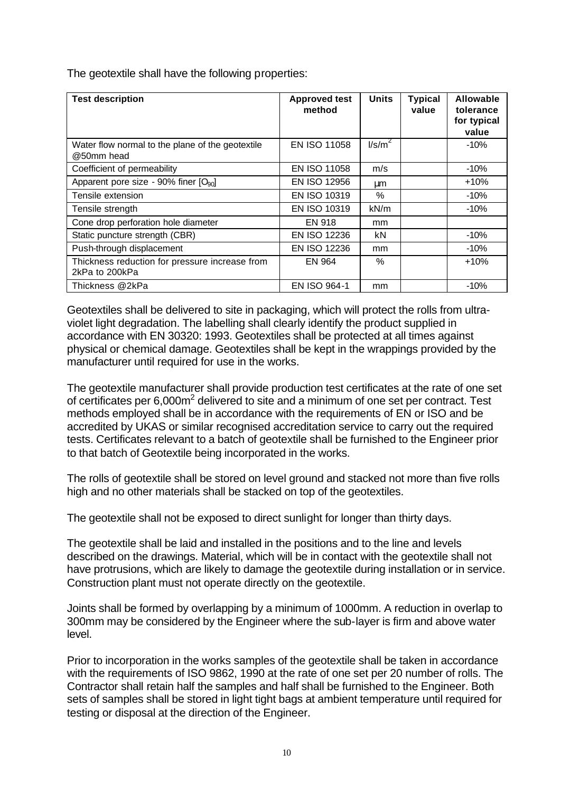The geotextile shall have the following properties:

| <b>Test description</b>                                          | <b>Approved test</b><br>method | <b>Units</b>     | <b>Typical</b><br>value | <b>Allowable</b><br>tolerance<br>for typical<br>value |
|------------------------------------------------------------------|--------------------------------|------------------|-------------------------|-------------------------------------------------------|
| Water flow normal to the plane of the geotextile<br>@50mm head   | <b>EN ISO 11058</b>            | $\text{I/s/m}^2$ |                         | $-10%$                                                |
| Coefficient of permeability                                      | EN ISO 11058                   | m/s              |                         | $-10%$                                                |
| Apparent pore size - 90% finer [O <sub>90</sub> ]                | EN ISO 12956                   | μm               |                         | $+10%$                                                |
| Tensile extension                                                | EN ISO 10319                   | $\%$             |                         | $-10%$                                                |
| Tensile strength                                                 | EN ISO 10319                   | kN/m             |                         | $-10%$                                                |
| Cone drop perforation hole diameter                              | <b>EN 918</b>                  | mm               |                         |                                                       |
| Static puncture strength (CBR)                                   | EN ISO 12236                   | kN               |                         | $-10%$                                                |
| Push-through displacement                                        | EN ISO 12236                   | mm               |                         | -10%                                                  |
| Thickness reduction for pressure increase from<br>2kPa to 200kPa | EN 964                         | $\%$             |                         | $+10%$                                                |
| Thickness @2kPa                                                  | <b>EN ISO 964-1</b>            | mm               |                         | $-10%$                                                |

Geotextiles shall be delivered to site in packaging, which will protect the rolls from ultraviolet light degradation. The labelling shall clearly identify the product supplied in accordance with EN 30320: 1993. Geotextiles shall be protected at all times against physical or chemical damage. Geotextiles shall be kept in the wrappings provided by the manufacturer until required for use in the works.

The geotextile manufacturer shall provide production test certificates at the rate of one set of certificates per 6,000m<sup>2</sup> delivered to site and a minimum of one set per contract. Test methods employed shall be in accordance with the requirements of EN or ISO and be accredited by UKAS or similar recognised accreditation service to carry out the required tests. Certificates relevant to a batch of geotextile shall be furnished to the Engineer prior to that batch of Geotextile being incorporated in the works.

The rolls of geotextile shall be stored on level ground and stacked not more than five rolls high and no other materials shall be stacked on top of the geotextiles.

The geotextile shall not be exposed to direct sunlight for longer than thirty days.

The geotextile shall be laid and installed in the positions and to the line and levels described on the drawings. Material, which will be in contact with the geotextile shall not have protrusions, which are likely to damage the geotextile during installation or in service. Construction plant must not operate directly on the geotextile.

Joints shall be formed by overlapping by a minimum of 1000mm. A reduction in overlap to 300mm may be considered by the Engineer where the sub-layer is firm and above water level.

Prior to incorporation in the works samples of the geotextile shall be taken in accordance with the requirements of ISO 9862, 1990 at the rate of one set per 20 number of rolls. The Contractor shall retain half the samples and half shall be furnished to the Engineer. Both sets of samples shall be stored in light tight bags at ambient temperature until required for testing or disposal at the direction of the Engineer.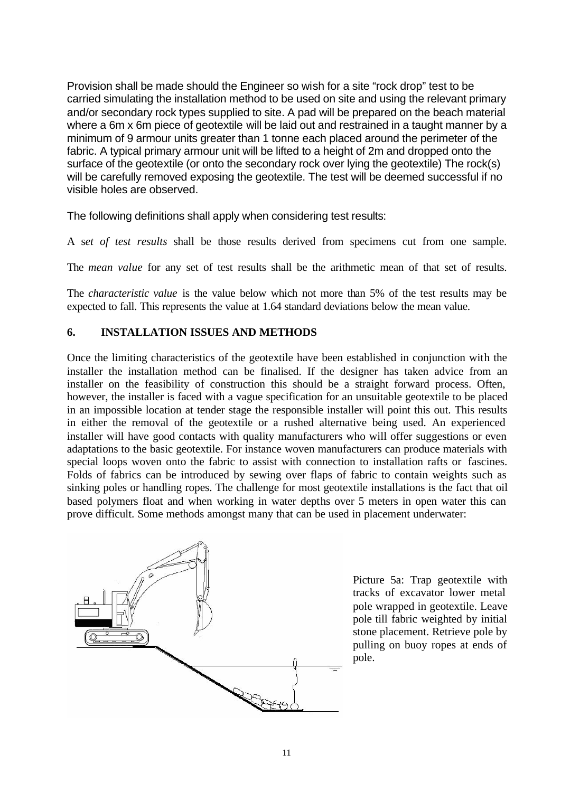Provision shall be made should the Engineer so wish for a site "rock drop" test to be carried simulating the installation method to be used on site and using the relevant primary and/or secondary rock types supplied to site. A pad will be prepared on the beach material where a 6m x 6m piece of geotextile will be laid out and restrained in a taught manner by a minimum of 9 armour units greater than 1 tonne each placed around the perimeter of the fabric. A typical primary armour unit will be lifted to a height of 2m and dropped onto the surface of the geotextile (or onto the secondary rock over lying the geotextile) The rock(s) will be carefully removed exposing the geotextile. The test will be deemed successful if no visible holes are observed.

The following definitions shall apply when considering test results:

A s*et of test results* shall be those results derived from specimens cut from one sample.

The *mean value* for any set of test results shall be the arithmetic mean of that set of results.

The *characteristic value* is the value below which not more than 5% of the test results may be expected to fall. This represents the value at 1.64 standard deviations below the mean value.

#### **6. INSTALLATION ISSUES AND METHODS**

Once the limiting characteristics of the geotextile have been established in conjunction with the installer the installation method can be finalised. If the designer has taken advice from an installer on the feasibility of construction this should be a straight forward process. Often, however, the installer is faced with a vague specification for an unsuitable geotextile to be placed in an impossible location at tender stage the responsible installer will point this out. This results in either the removal of the geotextile or a rushed alternative being used. An experienced installer will have good contacts with quality manufacturers who will offer suggestions or even adaptations to the basic geotextile. For instance woven manufacturers can produce materials with special loops woven onto the fabric to assist with connection to installation rafts or fascines. Folds of fabrics can be introduced by sewing over flaps of fabric to contain weights such as sinking poles or handling ropes. The challenge for most geotextile installations is the fact that oil based polymers float and when working in water depths over 5 meters in open water this can prove difficult. Some methods amongst many that can be used in placement underwater:



Picture 5a: Trap geotextile with tracks of excavator lower metal pole wrapped in geotextile. Leave pole till fabric weighted by initial stone placement. Retrieve pole by pulling on buoy ropes at ends of pole.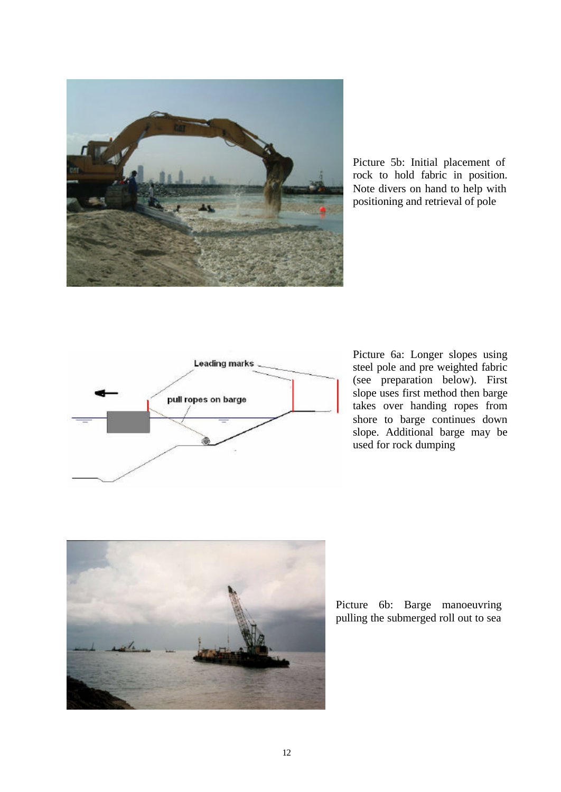

Picture 5b: Initial placement of rock to hold fabric in position. Note divers on hand to help with positioning and retrieval of pole



Picture 6a: Longer slopes using steel pole and pre weighted fabric (see preparation below). First slope uses first method then barge takes over handing ropes from shore to barge continues down slope. Additional barge may be used for rock dumping



Picture 6b: Barge manoeuvring pulling the submerged roll out to sea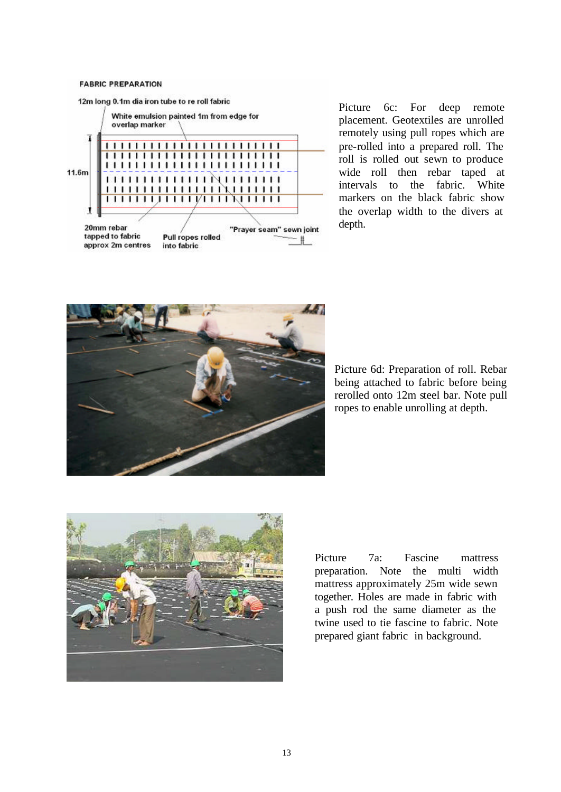#### **FABRIC PREPARATION**



Picture 6c: For deep remote placement. Geotextiles are unrolled remotely using pull ropes which are pre-rolled into a prepared roll. The roll is rolled out sewn to produce wide roll then rebar taped at intervals to the fabric. White markers on the black fabric show the overlap width to the divers at depth.



Picture 6d: Preparation of roll. Rebar being attached to fabric before being rerolled onto 12m steel bar. Note pull ropes to enable unrolling at depth.



Picture 7a: Fascine mattress preparation. Note the multi width mattress approximately 25m wide sewn together. Holes are made in fabric with a push rod the same diameter as the twine used to tie fascine to fabric. Note prepared giant fabric in background.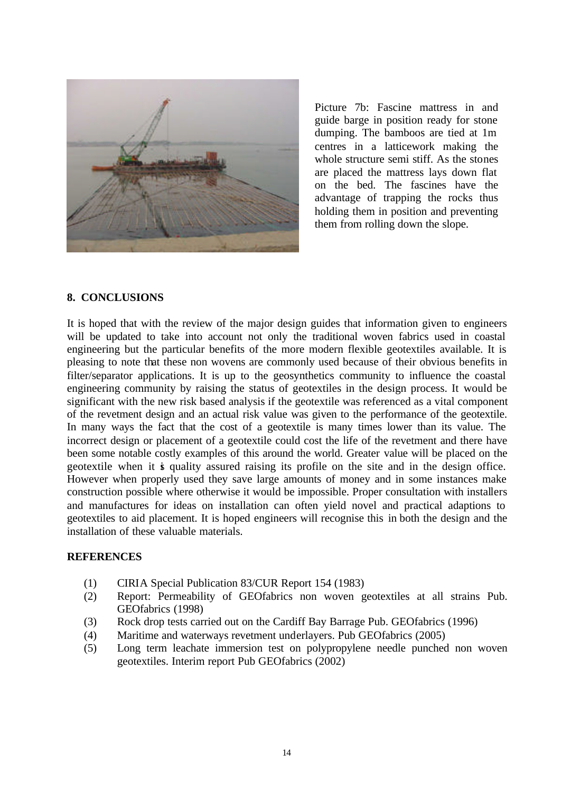

Picture 7b: Fascine mattress in and guide barge in position ready for stone dumping. The bamboos are tied at 1m centres in a latticework making the whole structure semi stiff. As the stones are placed the mattress lays down flat on the bed. The fascines have the advantage of trapping the rocks thus holding them in position and preventing them from rolling down the slope.

#### **8. CONCLUSIONS**

It is hoped that with the review of the major design guides that information given to engineers will be updated to take into account not only the traditional woven fabrics used in coastal engineering but the particular benefits of the more modern flexible geotextiles available. It is pleasing to note that these non wovens are commonly used because of their obvious benefits in filter/separator applications. It is up to the geosynthetics community to influence the coastal engineering community by raising the status of geotextiles in the design process. It would be significant with the new risk based analysis if the geotextile was referenced as a vital component of the revetment design and an actual risk value was given to the performance of the geotextile. In many ways the fact that the cost of a geotextile is many times lower than its value. The incorrect design or placement of a geotextile could cost the life of the revetment and there have been some notable costly examples of this around the world. Greater value will be placed on the geotextile when it is quality assured raising its profile on the site and in the design office. However when properly used they save large amounts of money and in some instances make construction possible where otherwise it would be impossible. Proper consultation with installers and manufactures for ideas on installation can often yield novel and practical adaptions to geotextiles to aid placement. It is hoped engineers will recognise this in both the design and the installation of these valuable materials.

#### **REFERENCES**

- (1) CIRIA Special Publication 83/CUR Report 154 (1983)
- (2) Report: Permeability of GEOfabrics non woven geotextiles at all strains Pub. GEOfabrics (1998)
- (3) Rock drop tests carried out on the Cardiff Bay Barrage Pub. GEOfabrics (1996)
- (4) Maritime and waterways revetment underlayers. Pub GEOfabrics (2005)
- (5) Long term leachate immersion test on polypropylene needle punched non woven geotextiles. Interim report Pub GEOfabrics (2002)